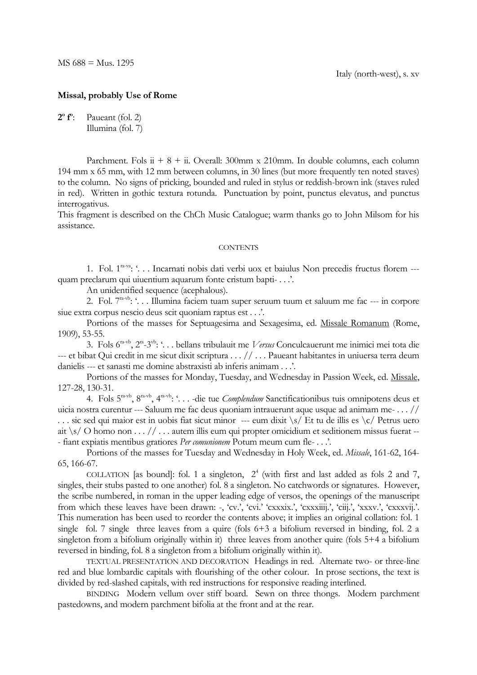## **Missal, probably Use of Rome**

**2 o f o** Paueant (fol. 2) Illumina (fol. 7)

Parchment. Fols  $ii + 8 + ii$ . Overall: 300mm x 210mm. In double columns, each column 194 mm x 65 mm, with 12 mm between columns, in 30 lines (but more frequently ten noted staves) to the column. No signs of pricking, bounded and ruled in stylus or reddish-brown ink (staves ruled in red). Written in gothic textura rotunda. Punctuation by point, punctus elevatus, and punctus interrogativus.

This fragment is described on the ChCh Music Catalogue; warm thanks go to John Milsom for his assistance.

## **CONTENTS**

1. Fol. 1<sup>ra-va</sup>: '... Incarnati nobis dati verbi uox et baiulus Non precedis fructus florem --quam preclarum qui uiuentium aquarum fonte cristum bapti- . . .'.

An unidentified sequence (acephalous).

2. Fol. 7<sup>ra-vb</sup>: '... Illumina faciem tuam super seruum tuum et saluum me fac --- in corpore siue extra corpus nescio deus scit quoniam raptus est . . .'.

Portions of the masses for Septuagesima and Sexagesima, ed. Missale Romanum (Rome, 1909), 53-55.

3. Fols 6ra-vb, 2ra -3 vb : '. . . bellans tribulauit me *Versus* Conculcauerunt me inimici mei tota die --- et bibat Qui credit in me sicut dixit scriptura . . . // . . . Paueant habitantes in uniuersa terra deum danielis --- et sanasti me domine abstraxisti ab inferis animam . . .'.

Portions of the masses for Monday, Tuesday, and Wednesday in Passion Week, ed. Missale, 127-28, 130-31.

4. Fols 5ra-vb, 8ra-vb, 4ra-vb : '. . . -die tue *Complendum* Sanctificationibus tuis omnipotens deus et uicia nostra curentur --- Saluum me fac deus quoniam intrauerunt aque usque ad animam me- . . . // . . . sic sed qui maior est in uobis fiat sicut minor --- eum dixit \s/ Et tu de illis es \c/ Petrus uero ait  $\sqrt{s}$  O homo non . . . // . . . autem illis eum qui propter omicidium et seditionem missus fuerat --- fiant expiatis mentibus gratiores *Per comunionem* Potum meum cum fle- . . .'.

Portions of the masses for Tuesday and Wednesday in Holy Week, ed. *Missale*, 161-62, 164- 65, 166-67.

COLLATION [as bound]: fol. 1 a singleton,  $2<sup>4</sup>$  (with first and last added as fols 2 and 7, singles, their stubs pasted to one another) fol. 8 a singleton. No catchwords or signatures. However, the scribe numbered, in roman in the upper leading edge of versos, the openings of the manuscript from which these leaves have been drawn: -, 'cv.', 'cvi.' 'cxxxix.', 'cxxxiiij.', 'ciij.', 'xxxv.', 'cxxxvij.'. This numeration has been used to reorder the contents above; it implies an original collation: fol. 1 single fol. 7 single three leaves from a quire (fols 6+3 a bifolium reversed in binding, fol. 2 a singleton from a bifolium originally within it) three leaves from another quire (fols 5+4 a bifolium reversed in binding, fol. 8 a singleton from a bifolium originally within it).

TEXTUAL PRESENTATION AND DECORATION Headings in red. Alternate two- or three-line red and blue lombardic capitals with flourishing of the other colour. In prose sections, the text is divided by red-slashed capitals, with red instructions for responsive reading interlined.

BINDING Modern vellum over stiff board. Sewn on three thongs. Modern parchment pastedowns, and modern parchment bifolia at the front and at the rear.